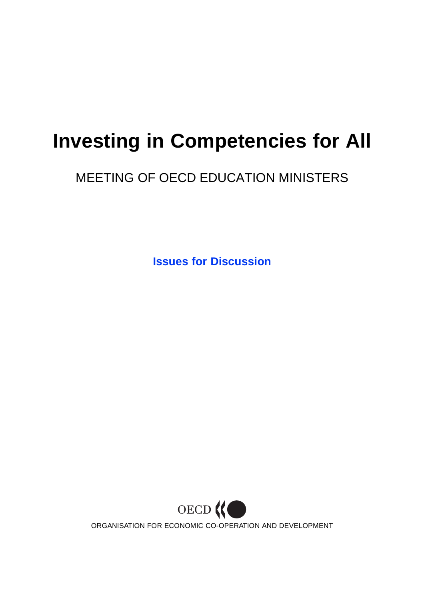# **Investing in Competencies for All**

# MEETING OF OECD EDUCATION MINISTERS

**Issues for Discussion**

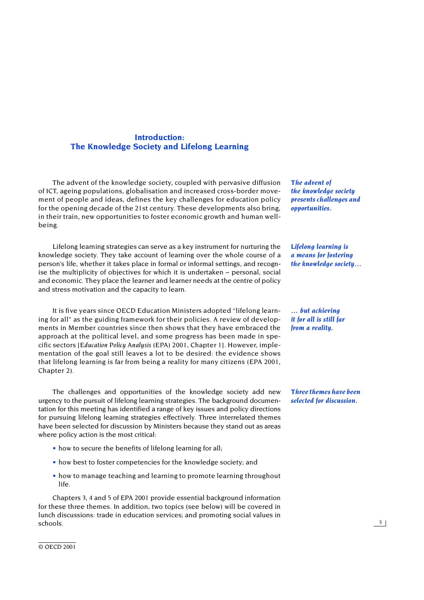# **Introduction: The Knowledge Society and Lifelong Learning**

The advent of the knowledge society, coupled with pervasive diffusion of ICT, ageing populations, globalisation and increased cross-border movement of people and ideas, defines the key challenges for education policy for the opening decade of the 21st century. These developments also bring, in their train, new opportunities to foster economic growth and human wellbeing.

Lifelong learning strategies can serve as a key instrument for nurturing the knowledge society. They take account of learning over the whole course of a person's life, whether it takes place in formal or informal settings, and recognise the multiplicity of objectives for which it is undertaken – personal, social and economic. They place the learner and learner needs at the centre of policy and stress motivation and the capacity to learn.

It is five years since OECD Education Ministers adopted "lifelong learning for all" as the guiding framework for their policies. A review of developments in Member countries since then shows that they have embraced the approach at the political level, and some progress has been made in specific sectors [*Education Policy Analysis (EPA) 2001,* Chapter 1]. However, implementation of the goal still leaves a lot to be desired: the evidence shows that lifelong learning is far from being a reality for many citizens *(EPA 2001*, Chapter 2*).*

The challenges and opportunities of the knowledge society add new urgency to the pursuit of lifelong learning strategies. The background documentation for this meeting has identified a range of key issues and policy directions for pursuing lifelong learning strategies effectively. Three interrelated themes have been selected for discussion by Ministers because they stand out as areas where policy action is the most critical:

- how to secure the benefits of lifelong learning for all;
- how best to foster competencies for the knowledge society; and
- how to manage teaching and learning to promote learning throughout life.

Chapters 3, 4 and 5 of *EPA 2001* provide essential background information for these three themes. In addition, two topics (see below) will be covered in lunch discussions: trade in education services; and promoting social values in schools.

*The advent of the knowledge society presents challenges and opportunities.*

*Lifelong learning is a means for fostering the knowledge society…*

*… but achieving it for all is still far from a reality.*

*Three themes have been selected for discussion.*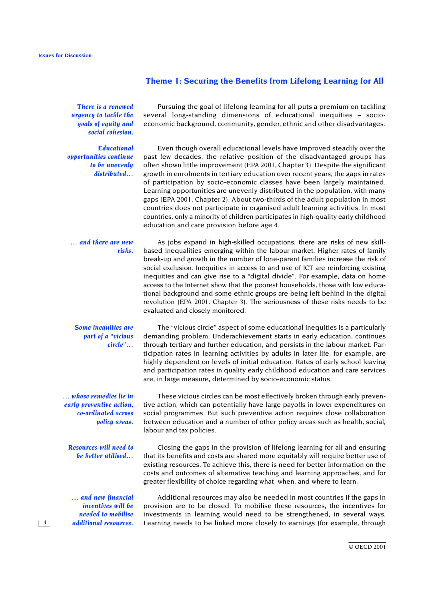# **Theme 1: Securing the Benefits from Lifelong Learning for All**

*There is a renewed urgency to tackle the goals of equity and social cohesion.*

*Educational opportunities continue to be unevenly distributed…*

Pursuing the goal of lifelong learning for all puts a premium on tackling several long-standing dimensions of educational inequities – socioeconomic background, community, gender, ethnic and other disadvantages*.*

Even though overall educational levels have improved steadily over the past few decades, the relative position of the disadvantaged groups has often shown little improvement *(EPA 2001,* Chapter 3). Despite the significant growth in enrolments in tertiary education over recent years, the gaps in rates of participation by socio-economic classes have been largely maintained. Learning opportunities are unevenly distributed in the population, with many gaps (*EPA 2001,* Chapter 2). About two-thirds of the adult population in most countries does not participate in organised adult learning activities. In most countries, only a minority of children participates in high-quality early childhood education and care provision before age 4.

#### *… and there are new risks.*

As jobs expand in high-skilled occupations, there are risks of new skillbased inequalities emerging within the labour market. Higher rates of family break-up and growth in the number of lone-parent families increase the risk of social exclusion. Inequities in access to and use of ICT are reinforcing existing inequities and can give rise to a "digital divide". For example, data on home access to the Internet show that the poorest households, those with low educational background and some ethnic groups are being left behind in the digital revolution (*EPA 2001,* Chapter 3). The seriousness of these risks needs to be evaluated and closely monitored.

# *Some inequities are part of a "vicious circle"…*

*… whose remedies lie in early preventive action, co-ordinated across policy areas.*

*Resources will need to be better utilised…*

*… and new financial incentives will be needed to mobilise additional resources.*

 *4*

The "vicious circle" aspect of some educational inequities is a particularly demanding problem. Underachievement starts in early education, continues through tertiary and further education, and persists in the labour market. Participation rates in learning activities by adults in later life, for example, are highly dependent on levels of initial education. Rates of early school leaving and participation rates in quality early childhood education and care services are, in large measure, determined by socio-economic status.

These vicious circles can be most effectively broken through early preventive action, which can potentially have large payoffs in lower expenditures on social programmes. But such preventive action requires close collaboration between education and a number of other policy areas such as health, social, labour and tax policies.

Closing the gaps in the provision of lifelong learning for all and ensuring that its benefits and costs are shared more equitably will require better use of existing resources. To achieve this, there is need for better information on the costs and outcomes of alternative teaching and learning approaches, and for greater flexibility of choice regarding what, when, and where to learn.

Additional resources may also be needed in most countries if the gaps in provision are to be closed. To mobilise these resources, the incentives for investments in learning would need to be strengthened, in several ways. Learning needs to be linked more closely to earnings (for example, through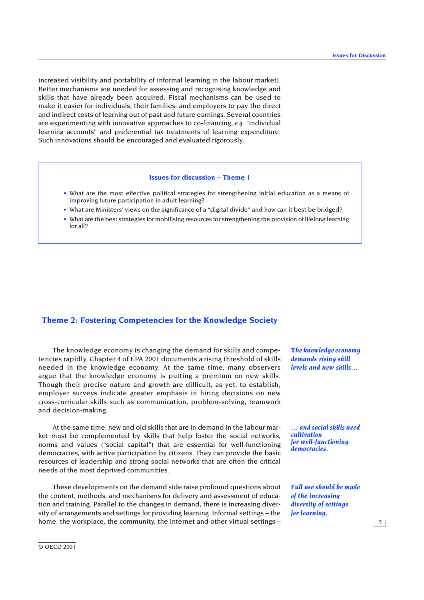increased visibility and portability of informal learning in the labour market). Better mechanisms are needed for assessing and recognising knowledge and skills that have already been acquired. Fiscal mechanisms can be used to make it easier for individuals, their families, and employers to pay the direct and indirect costs of learning out of past and future earnings. Several countries are experimenting with innovative approaches to co-financing, *e.g. "*individual learning accounts" and preferential tax treatments of learning expenditure. Such innovations should be encouraged and evaluated rigorously.

# **Issues for discussion – Theme 1**

- What are the most effective political strategies for strengthening initial education as a means of improving future participation in adult learning?
- What are Ministers' views on the significance of a "digital divide" and how can it best be bridged?
- What are the best strategies for mobilising resources for strengthening the provision of lifelong learning for all?

# **Theme 2: Fostering Competencies for the Knowledge Society**

The knowledge economy is changing the demand for skills and competencies rapidly. Chapter 4 of *EPA* 2001 documents a rising threshold of skills needed in the knowledge economy. At the same time, many observers argue that the knowledge economy is putting a premium on new skills. Though their precise nature and growth are difficult, as yet, to establish, employer surveys indicate greater emphasis in hiring decisions on new cross-curricular skills such as communication, problem-solving, teamwork and decision-making.

At the same time, new and old skills that are in demand in the labour market must be complemented by skills that help foster the social networks, norms and values ("social capital") that are essential for well-functioning democracies, with active participation by citizens. They can provide the basic resources of leadership and strong social networks that are often the critical needs of the most deprived communities.

These developments on the demand side raise profound questions about the content, methods, and mechanisms for delivery and assessment of education and training. Parallel to the changes in demand, there is increasing diversity of arrangements and settings for providing learning. Informal settings – the home, the workplace, the community, the Internet and other virtual settings –

*The knowledge economy demands rising skill levels and new skills…*

*… and social skills need cultivation for well-functioning democracies.*

*Full use should be made of the increasing diversity of settings for learning.*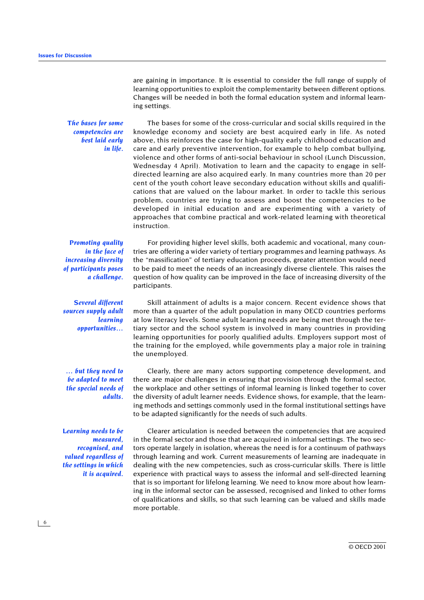are gaining in importance. It is essential to consider the full range of supply of learning opportunities to exploit the complementarity between different options. Changes will be needed in both the formal education system and informal learning settings.

*The bases for some competencies are best laid early in life.*

The bases for some of the cross-curricular and social skills required in the knowledge economy and society are best acquired early in life. As noted above, this reinforces the case for high-quality early childhood education and care and early preventive intervention, for example to help combat bullying, violence and other forms of anti-social behaviour in school (Lunch Discussion, Wednesday 4 April). Motivation to learn and the capacity to engage in selfdirected learning are also acquired early. In many countries more than 20 per cent of the youth cohort leave secondary education without skills and qualifications that are valued on the labour market. In order to tackle this serious problem, countries are trying to assess and boost the competencies to be developed in initial education and are experimenting with a variety of approaches that combine practical and work-related learning with theoretical instruction.

*Promoting quality in the face of increasing diversity of participants poses a challenge.*

*Several different sources supply adult learning opportunities…* tries are offering a wider variety of tertiary programmes and learning pathways. As the "massification" of tertiary education proceeds, greater attention would need to be paid to meet the needs of an increasingly diverse clientele. This raises the question of how quality can be improved in the face of increasing diversity of the participants.

For providing higher level skills, both academic and vocational, many coun-

Skill attainment of adults is a major concern. Recent evidence shows that more than a quarter of the adult population in many OECD countries performs at low literacy levels. Some adult learning needs are being met through the tertiary sector and the school system is involved in many countries in providing learning opportunities for poorly qualified adults. Employers support most of the training for the employed, while governments play a major role in training the unemployed.

*… but they need to be adapted to meet the special needs of adults.*

Clearly, there are many actors supporting competence development, and there are major challenges in ensuring that provision through the formal sector, the workplace and other settings of informal learning is linked together to cover the diversity of adult learner needs. Evidence shows, for example, that the learning methods and settings commonly used in the formal institutional settings have to be adapted significantly for the needs of such adults.

*Learning needs to be measured, recognised, and valued regardless of the settings in which it is acquired.*

Clearer articulation is needed between the competencies that are acquired in the formal sector and those that are acquired in informal settings. The two sectors operate largely in isolation, whereas the need is for a continuum of pathways through learning and work. Current measurements of learning are inadequate in dealing with the new competencies, such as cross-curricular skills. There is little experience with practical ways to assess the informal and self-directed learning that is so important for lifelong learning. We need to know more about how learning in the informal sector can be assessed, recognised and linked to other forms of qualifications and skills, so that such learning can be valued and skills made more portable.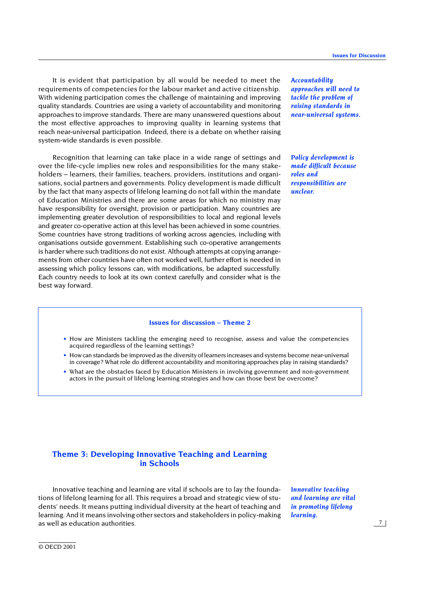It is evident that participation by all would be needed to meet the requirements of competencies for the labour market and active citizenship. With widening participation comes the challenge of maintaining and improving quality standards. Countries are using a variety of accountability and monitoring approaches to improve standards. There are many unanswered questions about the most effective approaches to improving quality in learning systems that reach near-universal participation. Indeed, there is a debate on whether raising system-wide standards is even possible.

Recognition that learning can take place in a wide range of settings and over the life-cycle implies new roles and responsibilities for the many stakeholders – learners, their families, teachers, providers, institutions and organisations, social partners and governments. Policy development is made difficult by the fact that many aspects of lifelong learning do not fall within the mandate of Education Ministries and there are some areas for which no ministry may have responsibility for oversight, provision or participation*.* Many countries are implementing greater devolution of responsibilities to local and regional levels and greater co-operative action at this level has been achieved in some countries*.* Some countries have strong traditions of working across agencies, including with organisations outside government. Establishing such co-operative arrangements is harder where such traditions do not exist. Although attempts at copying arrangements from other countries have often not worked well, further effort is needed in assessing which policy lessons can, with modifications, be adapted successfully. Each country needs to look at its own context carefully and consider what is the best way forward.

*Accountability approaches will need to tackle the problem of raising standards in near-universal systems.*

*Policy development is made difficult because roles and responsibilities are unclear.*

# **Issues for discussion – Theme 2**

- How are Ministers tackling the emerging need to recognise, assess and value the competencies acquired regardless of the learning settings?
- How can standards be improved as the diversity of learners increases and systems become near-universal in coverage? What role do different accountability and monitoring approaches play in raising standards?
- What are the obstacles faced by Education Ministers in involving government and non-government actors in the pursuit of lifelong learning strategies and how can those best be overcome?

# **Theme 3: Developing Innovative Teaching and Learning in Schools**

Innovative teaching and learning are vital if schools are to lay the foundations of lifelong learning for all. This requires a broad and strategic view of students' needs. It means putting individual diversity at the heart of teaching and learning. And it means involving other sectors and stakeholders in policy-making as well as education authorities.

*Innovative teaching and learning are vital in promoting lifelong learning.*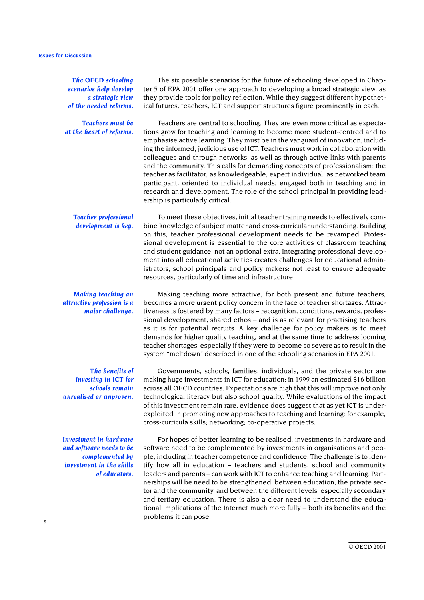*The OECD schooling scenarios help develop a strategic view of the needed reforms.*

*Teachers must be at the heart of reforms.*

The six possible scenarios for the future of schooling developed in Chapter 5 of *EPA 2001* offer one approach to developing a broad strategic view, as they provide tools for policy reflection. While they suggest different hypothetical futures, teachers, ICT and support structures figure prominently in each.

Teachers are central to schooling. They are even more critical as expectations grow for teaching and learning to become more student-centred and to emphasise active learning. They must be in the vanguard of innovation, including the informed, judicious use of ICT. Teachers must work in collaboration with colleagues and through networks, as well as through active links with parents and the community. This calls for demanding concepts of professionalism: the teacher as facilitator; as knowledgeable, expert individual; as networked team participant, oriented to individual needs; engaged both in teaching and in research and development. The role of the school principal in providing leadership is particularly critical.

*Teacher professional development is key.*

To meet these objectives, initial teacher training needs to effectively combine knowledge of subject matter and cross-curricular understanding. Building on this, teacher professional development needs to be revamped. Professional development is essential to the core activities of classroom teaching and student guidance, not an optional extra. Integrating professional development into all educational activities creates challenges for educational administrators, school principals and policy makers: not least to ensure adequate resources, particularly of time and infrastructure.

*Making teaching an attractive profession is a major challenge.*

*The benefits of investing in ICT for schools remain unrealised or unproven.*

*Investment in hardware and software needs to be complemented by investment in the skills of educators.*

Making teaching more attractive, for both present and future teachers, becomes a more urgent policy concern in the face of teacher shortages. Attractiveness is fostered by many factors – recognition, conditions, rewards, professional development, shared ethos – and is as relevant for practising teachers as it is for potential recruits. A key challenge for policy makers is to meet demands for higher quality teaching, and at the same time to address looming teacher shortages, especially if they were to become so severe as to result in the system "meltdown" described in one of the schooling scenarios in *EPA 2001*.

Governments, schools, families, individuals, and the private sector are making huge investments in ICT for education: in 1999 an estimated \$16 billion across all OECD countries. Expectations are high that this will improve not only technological literacy but also school quality. While evaluations of the impact of this investment remain rare, evidence does suggest that as yet ICT is underexploited in promoting new approaches to teaching and learning: for example, cross-curricula skills; networking; co-operative projects.

For hopes of better learning to be realised, investments in hardware and software need to be complemented by investments in organisations and people, including in teacher competence and confidence. The challenge is to identify how all in education – teachers and students, school and community leaders and parents – can work with ICT to enhance teaching and learning. Partnerships will be need to be strengthened, between education, the private sector and the community, and between the different levels, especially secondary and tertiary education. There is also a clear need to understand the educational implications of the Internet much more fully – both its benefits and the problems it can pose.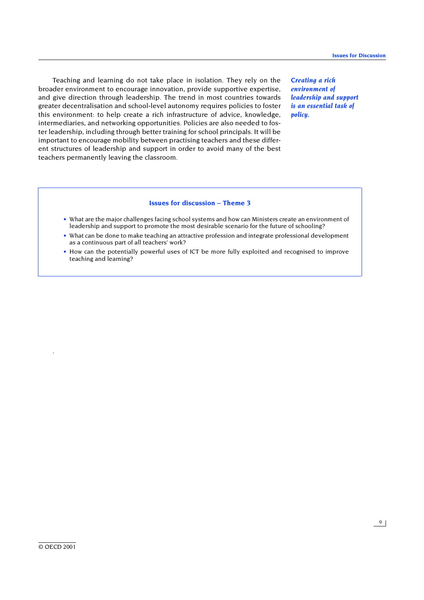Teaching and learning do not take place in isolation. They rely on the broader environment to encourage innovation, provide supportive expertise, and give direction through leadership. The trend in most countries towards greater decentralisation and school-level autonomy requires policies to foster this environment: to help create a rich infrastructure of advice, knowledge, intermediaries, and networking opportunities. Policies are also needed to foster leadership, including through better training for school principals. It will be important to encourage mobility between practising teachers and these different structures of leadership and support in order to avoid many of the best teachers permanently leaving the classroom.

*Creating a rich environment of leadership and support is an essential task of policy.*

# **Issues for discussion – Theme 3**

- What are the major challenges facing school systems and how can Ministers create an environment of leadership and support to promote the most desirable scenario for the future of schooling?
- What can be done to make teaching an attractive profession and integrate professional development as a continuous part of all teachers' work?
- How can the potentially powerful uses of ICT be more fully exploited and recognised to improve teaching and learning?

.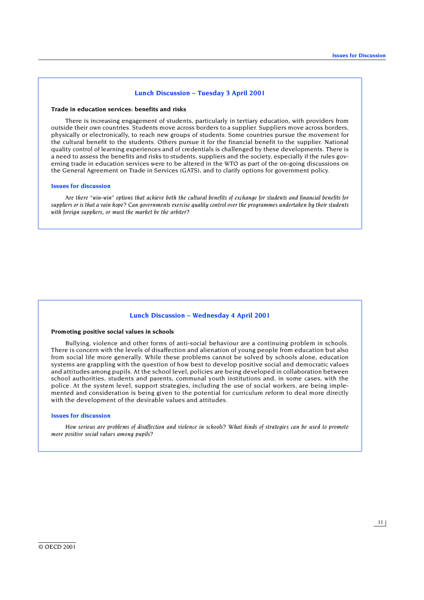### **Lunch Discussion – Tuesday 3 April 2001**

#### **Trade in education services: benefits and risks**

There is increasing engagement of students, particularly in tertiary education, with providers from outside their own countries. Students move across borders to a supplier. Suppliers move across borders, physically or electronically, to reach new groups of students. Some countries pursue the movement for the cultural benefit to the students. Others pursue it for the financial benefit to the supplier. National quality control of learning experiences and of credentials is challenged by these developments. There is a need to assess the benefits and risks to students, suppliers and the society, especially if the rules governing trade in education services were to be altered in the WTO as part of the on-going discussions on the General Agreement on Trade in Services (GATS), and to clarify options for government policy.

#### **Issues for discussion**

*Are there "win-win" options that achieve both the cultural benefits of exchange for students and financial benefits for suppliers or is that a vain hope? Can governments exercise quality control over the programmes undertaken by their students with foreign suppliers, or must the market be the arbiter?*

## **Lunch Discussion – Wednesday 4 April 2001**

#### **Promoting positive social values in schools**

Bullying, violence and other forms of anti-social behaviour are a continuing problem in schools. There is concern with the levels of disaffection and alienation of young people from education but also from social life more generally. While these problems cannot be solved by schools alone, education systems are grappling with the question of how best to develop positive social and democratic values and attitudes among pupils. At the school level, policies are being developed in collaboration between school authorities, students and parents, communal youth institutions and, in some cases, with the police. At the system level, support strategies, including the use of social workers, are being implemented and consideration is being given to the potential for curriculum reform to deal more directly with the development of the desirable values and attitudes.

### **Issues for discussion**

*How serious are problems of disaffection and violence in schools? What kinds of strategies can be used to promote more positive social values among pupils?*